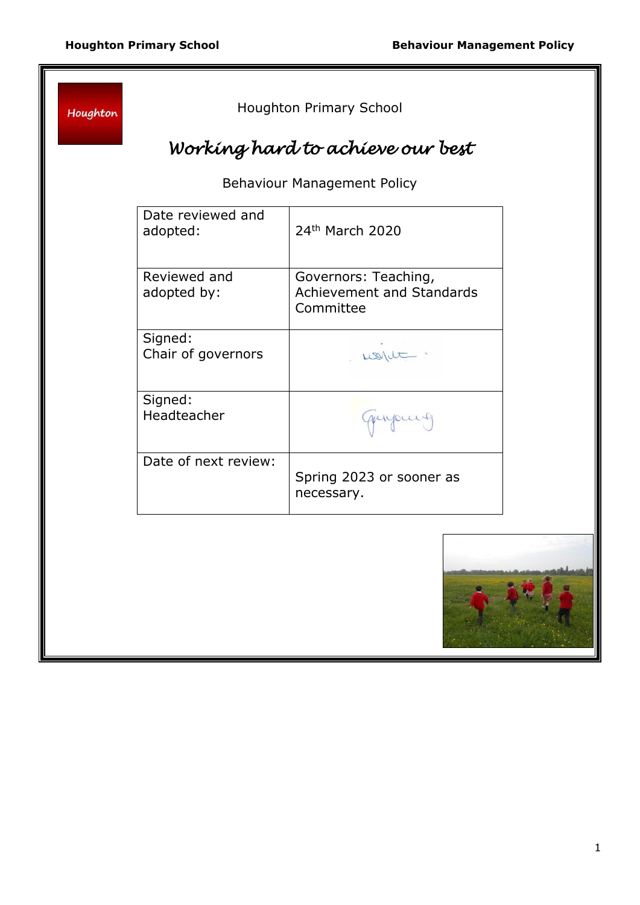Houghton

Houghton Primary School

# *Working hard to achieve our best*

Behaviour Management Policy

| Date reviewed and<br>adopted: | 24 <sup>th</sup> March 2020                                           |
|-------------------------------|-----------------------------------------------------------------------|
| Reviewed and<br>adopted by:   | Governors: Teaching,<br><b>Achievement and Standards</b><br>Committee |
| Signed:<br>Chair of governors |                                                                       |
| Signed:<br>Headteacher        | quipuis                                                               |
| Date of next review:          | Spring 2023 or sooner as<br>necessary.                                |

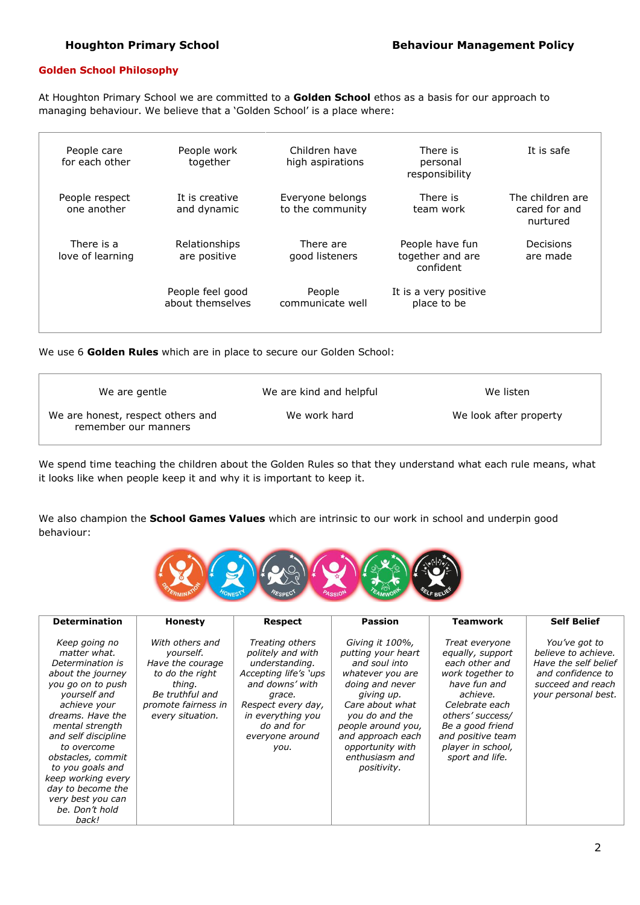#### **Golden School Philosophy**

'n

At Houghton Primary School we are committed to a **Golden School** ethos as a basis for our approach to managing behaviour. We believe that a 'Golden School' is a place where:

| People care<br>for each other  | People work<br>together              | Children have<br>high aspirations    | There is<br>personal<br>responsibility           | It is safe                                    |
|--------------------------------|--------------------------------------|--------------------------------------|--------------------------------------------------|-----------------------------------------------|
| People respect<br>one another  | It is creative<br>and dynamic        | Everyone belongs<br>to the community | There is<br>team work                            | The children are<br>cared for and<br>nurtured |
| There is a<br>love of learning | Relationships<br>are positive        | There are<br>good listeners          | People have fun<br>together and are<br>confident | Decisions<br>are made                         |
|                                | People feel good<br>about themselves | People<br>communicate well           | It is a very positive<br>place to be             |                                               |

We use 6 **Golden Rules** which are in place to secure our Golden School:

| We are gentle                                             | We are kind and helpful | We listen              |
|-----------------------------------------------------------|-------------------------|------------------------|
| We are honest, respect others and<br>remember our manners | We work hard            | We look after property |

We spend time teaching the children about the Golden Rules so that they understand what each rule means, what it looks like when people keep it and why it is important to keep it.

We also champion the **School Games Values** which are intrinsic to our work in school and underpin good behaviour:



| <b>Determination</b>                                                                                                                                                                                                                                                                                                                         | <b>Honesty</b>                                                                                                                              | <b>Respect</b>                                                                                                                                                                                   | <b>Passion</b>                                                                                                                                                                                                                                   | <b>Teamwork</b>                                                                                                                                                                                                             | <b>Self Belief</b>                                                                                                            |
|----------------------------------------------------------------------------------------------------------------------------------------------------------------------------------------------------------------------------------------------------------------------------------------------------------------------------------------------|---------------------------------------------------------------------------------------------------------------------------------------------|--------------------------------------------------------------------------------------------------------------------------------------------------------------------------------------------------|--------------------------------------------------------------------------------------------------------------------------------------------------------------------------------------------------------------------------------------------------|-----------------------------------------------------------------------------------------------------------------------------------------------------------------------------------------------------------------------------|-------------------------------------------------------------------------------------------------------------------------------|
| Keep going no<br>matter what.<br>Determination is<br>about the journey<br>you go on to push<br>yourself and<br>achieve your<br>dreams. Have the<br>mental strength<br>and self discipline<br>to overcome<br>obstacles, commit<br>to you goals and<br>keep working every<br>day to become the<br>very best you can<br>be. Don't hold<br>back! | With others and<br>yourself.<br>Have the courage<br>to do the right<br>thing.<br>Be truthful and<br>promote fairness in<br>every situation. | Treating others<br>politely and with<br>understanding.<br>Accepting life's 'ups<br>and downs' with<br>grace.<br>Respect every day,<br>in everything you<br>do and for<br>everyone around<br>you. | Giving it 100%,<br>putting your heart<br>and soul into<br>whatever you are<br>doing and never<br>giving up.<br>Care about what<br>you do and the<br>people around you,<br>and approach each<br>opportunity with<br>enthusiasm and<br>positivity. | Treat everyone<br>equally, support<br>each other and<br>work together to<br>have fun and<br>achieve.<br>Celebrate each<br>others' success/<br>Be a good friend<br>and positive team<br>player in school,<br>sport and life. | You've got to<br>believe to achieve.<br>Have the self belief<br>and confidence to<br>succeed and reach<br>your personal best. |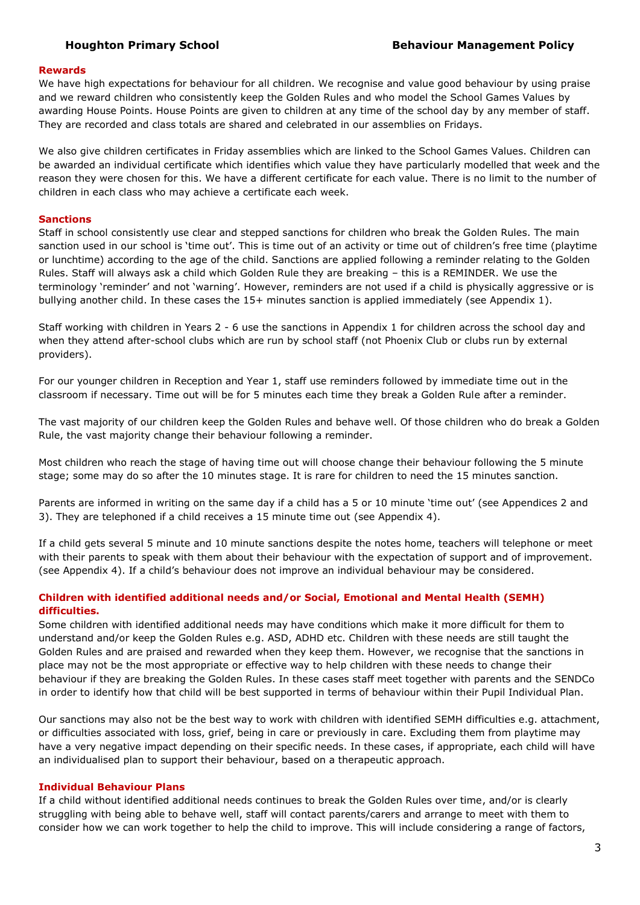#### **Rewards**

We have high expectations for behaviour for all children. We recognise and value good behaviour by using praise and we reward children who consistently keep the Golden Rules and who model the School Games Values by awarding House Points. House Points are given to children at any time of the school day by any member of staff. They are recorded and class totals are shared and celebrated in our assemblies on Fridays.

We also give children certificates in Friday assemblies which are linked to the School Games Values. Children can be awarded an individual certificate which identifies which value they have particularly modelled that week and the reason they were chosen for this. We have a different certificate for each value. There is no limit to the number of children in each class who may achieve a certificate each week.

#### **Sanctions**

Staff in school consistently use clear and stepped sanctions for children who break the Golden Rules. The main sanction used in our school is 'time out'. This is time out of an activity or time out of children's free time (playtime or lunchtime) according to the age of the child. Sanctions are applied following a reminder relating to the Golden Rules. Staff will always ask a child which Golden Rule they are breaking – this is a REMINDER. We use the terminology 'reminder' and not 'warning'. However, reminders are not used if a child is physically aggressive or is bullying another child. In these cases the 15+ minutes sanction is applied immediately (see Appendix 1).

Staff working with children in Years 2 - 6 use the sanctions in Appendix 1 for children across the school day and when they attend after-school clubs which are run by school staff (not Phoenix Club or clubs run by external providers).

For our younger children in Reception and Year 1, staff use reminders followed by immediate time out in the classroom if necessary. Time out will be for 5 minutes each time they break a Golden Rule after a reminder.

The vast majority of our children keep the Golden Rules and behave well. Of those children who do break a Golden Rule, the vast majority change their behaviour following a reminder.

Most children who reach the stage of having time out will choose change their behaviour following the 5 minute stage; some may do so after the 10 minutes stage. It is rare for children to need the 15 minutes sanction.

Parents are informed in writing on the same day if a child has a 5 or 10 minute 'time out' (see Appendices 2 and 3). They are telephoned if a child receives a 15 minute time out (see Appendix 4).

If a child gets several 5 minute and 10 minute sanctions despite the notes home, teachers will telephone or meet with their parents to speak with them about their behaviour with the expectation of support and of improvement. (see Appendix 4). If a child's behaviour does not improve an individual behaviour may be considered.

#### **Children with identified additional needs and/or Social, Emotional and Mental Health (SEMH) difficulties.**

Some children with identified additional needs may have conditions which make it more difficult for them to understand and/or keep the Golden Rules e.g. ASD, ADHD etc. Children with these needs are still taught the Golden Rules and are praised and rewarded when they keep them. However, we recognise that the sanctions in place may not be the most appropriate or effective way to help children with these needs to change their behaviour if they are breaking the Golden Rules. In these cases staff meet together with parents and the SENDCo in order to identify how that child will be best supported in terms of behaviour within their Pupil Individual Plan.

Our sanctions may also not be the best way to work with children with identified SEMH difficulties e.g. attachment, or difficulties associated with loss, grief, being in care or previously in care. Excluding them from playtime may have a very negative impact depending on their specific needs. In these cases, if appropriate, each child will have an individualised plan to support their behaviour, based on a therapeutic approach.

#### **Individual Behaviour Plans**

If a child without identified additional needs continues to break the Golden Rules over time, and/or is clearly struggling with being able to behave well, staff will contact parents/carers and arrange to meet with them to consider how we can work together to help the child to improve. This will include considering a range of factors,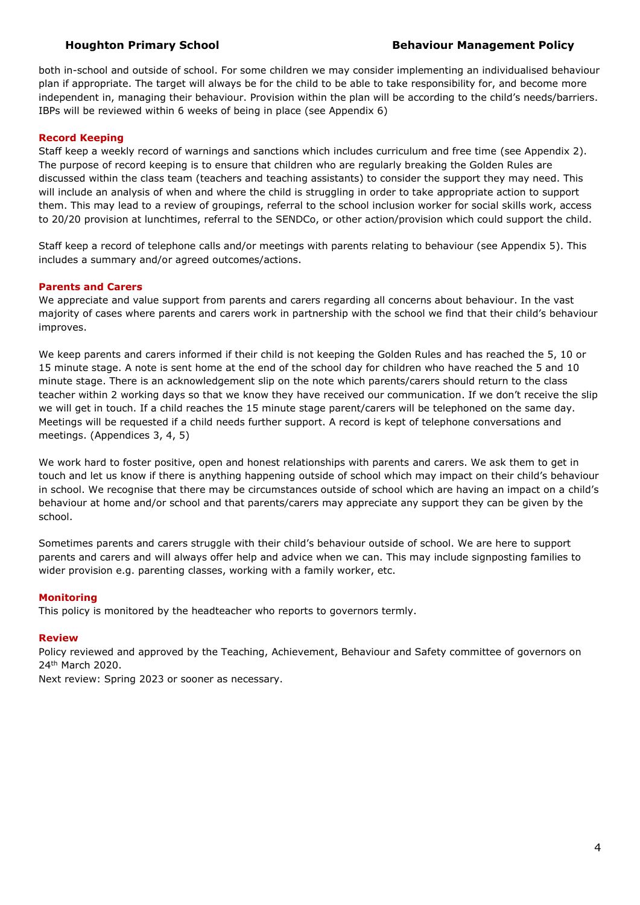both in-school and outside of school. For some children we may consider implementing an individualised behaviour plan if appropriate. The target will always be for the child to be able to take responsibility for, and become more independent in, managing their behaviour. Provision within the plan will be according to the child's needs/barriers. IBPs will be reviewed within 6 weeks of being in place (see Appendix 6)

#### **Record Keeping**

Staff keep a weekly record of warnings and sanctions which includes curriculum and free time (see Appendix 2). The purpose of record keeping is to ensure that children who are regularly breaking the Golden Rules are discussed within the class team (teachers and teaching assistants) to consider the support they may need. This will include an analysis of when and where the child is struggling in order to take appropriate action to support them. This may lead to a review of groupings, referral to the school inclusion worker for social skills work, access to 20/20 provision at lunchtimes, referral to the SENDCo, or other action/provision which could support the child.

Staff keep a record of telephone calls and/or meetings with parents relating to behaviour (see Appendix 5). This includes a summary and/or agreed outcomes/actions.

#### **Parents and Carers**

We appreciate and value support from parents and carers regarding all concerns about behaviour. In the vast majority of cases where parents and carers work in partnership with the school we find that their child's behaviour improves.

We keep parents and carers informed if their child is not keeping the Golden Rules and has reached the 5, 10 or 15 minute stage. A note is sent home at the end of the school day for children who have reached the 5 and 10 minute stage. There is an acknowledgement slip on the note which parents/carers should return to the class teacher within 2 working days so that we know they have received our communication. If we don't receive the slip we will get in touch. If a child reaches the 15 minute stage parent/carers will be telephoned on the same day. Meetings will be requested if a child needs further support. A record is kept of telephone conversations and meetings. (Appendices 3, 4, 5)

We work hard to foster positive, open and honest relationships with parents and carers. We ask them to get in touch and let us know if there is anything happening outside of school which may impact on their child's behaviour in school. We recognise that there may be circumstances outside of school which are having an impact on a child's behaviour at home and/or school and that parents/carers may appreciate any support they can be given by the school.

Sometimes parents and carers struggle with their child's behaviour outside of school. We are here to support parents and carers and will always offer help and advice when we can. This may include signposting families to wider provision e.g. parenting classes, working with a family worker, etc.

#### **Monitoring**

This policy is monitored by the headteacher who reports to governors termly.

#### **Review**

Policy reviewed and approved by the Teaching, Achievement, Behaviour and Safety committee of governors on 24th March 2020.

Next review: Spring 2023 or sooner as necessary.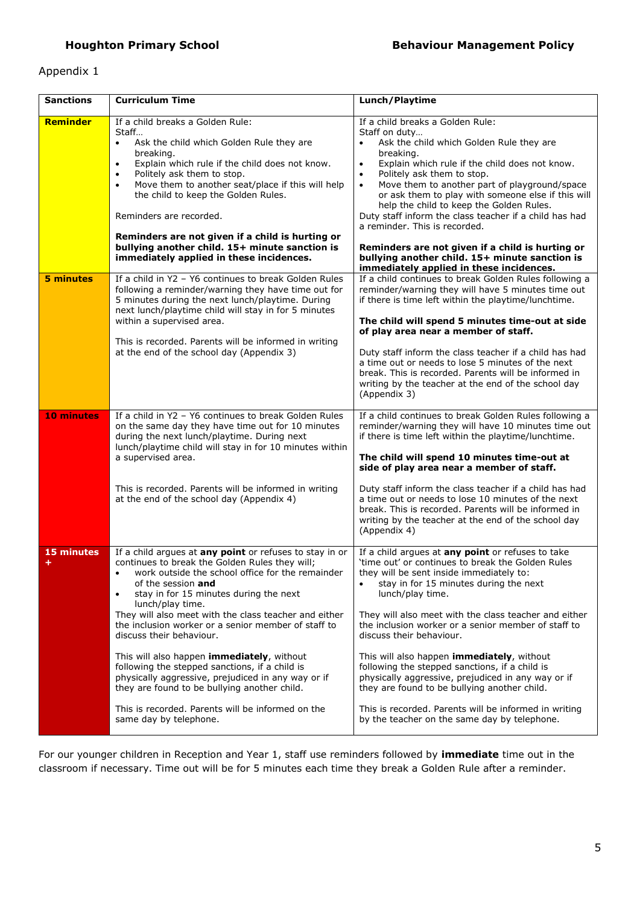### Appendix 1

| <b>Sanctions</b>  | <b>Curriculum Time</b>                                                                                                                                                                                                                                                                                                                                                                                                                                                                                                                                                                                                                                                             | Lunch/Playtime                                                                                                                                                                                                                                                                                                                                                                                                                                                                                                                                                                                                                                                                   |
|-------------------|------------------------------------------------------------------------------------------------------------------------------------------------------------------------------------------------------------------------------------------------------------------------------------------------------------------------------------------------------------------------------------------------------------------------------------------------------------------------------------------------------------------------------------------------------------------------------------------------------------------------------------------------------------------------------------|----------------------------------------------------------------------------------------------------------------------------------------------------------------------------------------------------------------------------------------------------------------------------------------------------------------------------------------------------------------------------------------------------------------------------------------------------------------------------------------------------------------------------------------------------------------------------------------------------------------------------------------------------------------------------------|
| Reminder          | If a child breaks a Golden Rule:<br>Staff<br>Ask the child which Golden Rule they are<br>$\bullet$<br>breaking.<br>Explain which rule if the child does not know.<br>$\bullet$<br>Politely ask them to stop.<br>$\bullet$<br>Move them to another seat/place if this will help<br>$\bullet$<br>the child to keep the Golden Rules.<br>Reminders are recorded.<br>Reminders are not given if a child is hurting or<br>bullying another child. 15+ minute sanction is<br>immediately applied in these incidences.                                                                                                                                                                    | If a child breaks a Golden Rule:<br>Staff on duty<br>Ask the child which Golden Rule they are<br>breaking.<br>Explain which rule if the child does not know.<br>$\bullet$<br>Politely ask them to stop.<br>$\bullet$<br>Move them to another part of playground/space<br>$\bullet$<br>or ask them to play with someone else if this will<br>help the child to keep the Golden Rules.<br>Duty staff inform the class teacher if a child has had<br>a reminder. This is recorded.<br>Reminders are not given if a child is hurting or<br>bullying another child. 15+ minute sanction is<br>immediately applied in these incidences.                                                |
| 5 minutes         | If a child in Y2 - Y6 continues to break Golden Rules<br>following a reminder/warning they have time out for<br>5 minutes during the next lunch/playtime. During<br>next lunch/playtime child will stay in for 5 minutes<br>within a supervised area.<br>This is recorded. Parents will be informed in writing<br>at the end of the school day (Appendix 3)                                                                                                                                                                                                                                                                                                                        | If a child continues to break Golden Rules following a<br>reminder/warning they will have 5 minutes time out<br>if there is time left within the playtime/lunchtime.<br>The child will spend 5 minutes time-out at side<br>of play area near a member of staff.<br>Duty staff inform the class teacher if a child has had<br>a time out or needs to lose 5 minutes of the next<br>break. This is recorded. Parents will be informed in<br>writing by the teacher at the end of the school day<br>(Appendix 3)                                                                                                                                                                    |
| <b>10 minutes</b> | If a child in Y2 - Y6 continues to break Golden Rules<br>on the same day they have time out for 10 minutes<br>during the next lunch/playtime. During next<br>lunch/playtime child will stay in for 10 minutes within<br>a supervised area.<br>This is recorded. Parents will be informed in writing<br>at the end of the school day (Appendix 4)                                                                                                                                                                                                                                                                                                                                   | If a child continues to break Golden Rules following a<br>reminder/warning they will have 10 minutes time out<br>if there is time left within the playtime/lunchtime.<br>The child will spend 10 minutes time-out at<br>side of play area near a member of staff.<br>Duty staff inform the class teacher if a child has had<br>a time out or needs to lose 10 minutes of the next<br>break. This is recorded. Parents will be informed in<br>writing by the teacher at the end of the school day<br>(Appendix 4)                                                                                                                                                                 |
| 15 minutes<br>÷   | If a child argues at any point or refuses to stay in or<br>continues to break the Golden Rules they will;<br>work outside the school office for the remainder<br>of the session and<br>stay in for 15 minutes during the next<br>lunch/play time.<br>They will also meet with the class teacher and either<br>the inclusion worker or a senior member of staff to<br>discuss their behaviour.<br>This will also happen immediately, without<br>following the stepped sanctions, if a child is<br>physically aggressive, prejudiced in any way or if<br>they are found to be bullying another child.<br>This is recorded. Parents will be informed on the<br>same day by telephone. | If a child argues at any point or refuses to take<br>'time out' or continues to break the Golden Rules<br>they will be sent inside immediately to:<br>stay in for 15 minutes during the next<br>٠<br>lunch/play time.<br>They will also meet with the class teacher and either<br>the inclusion worker or a senior member of staff to<br>discuss their behaviour.<br>This will also happen immediately, without<br>following the stepped sanctions, if a child is<br>physically aggressive, prejudiced in any way or if<br>they are found to be bullying another child.<br>This is recorded. Parents will be informed in writing<br>by the teacher on the same day by telephone. |

For our younger children in Reception and Year 1, staff use reminders followed by **immediate** time out in the classroom if necessary. Time out will be for 5 minutes each time they break a Golden Rule after a reminder.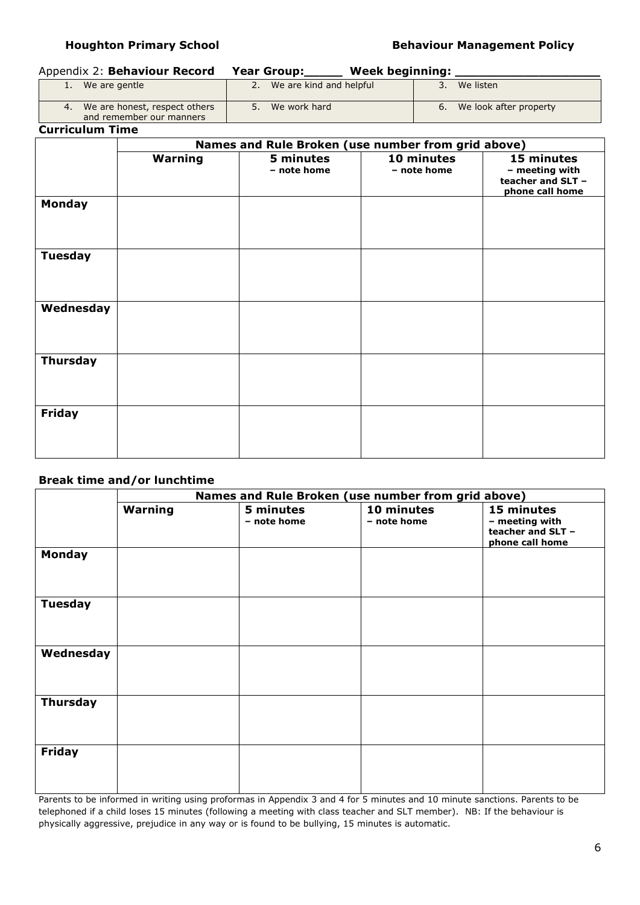#### **Houghton Primary School School Behaviour Management Policy**

### Appendix 2: **Behaviour Record Year Group:\_\_\_\_\_ Week beginning: \_\_\_\_\_\_\_\_\_\_\_\_\_\_\_\_\_\_\_**

| 1. We are gentle                                             | We are kind and helpful | We listen                 |
|--------------------------------------------------------------|-------------------------|---------------------------|
| 4. We are honest, respect others<br>and remember our manners | We work hard            | 6. We look after property |

**Curriculum Time**

|                 | Names and Rule Broken (use number from grid above) |                          |                           |                                                                      |
|-----------------|----------------------------------------------------|--------------------------|---------------------------|----------------------------------------------------------------------|
|                 | Warning                                            | 5 minutes<br>- note home | 10 minutes<br>- note home | 15 minutes<br>- meeting with<br>teacher and SLT -<br>phone call home |
| <b>Monday</b>   |                                                    |                          |                           |                                                                      |
| <b>Tuesday</b>  |                                                    |                          |                           |                                                                      |
| Wednesday       |                                                    |                          |                           |                                                                      |
| <b>Thursday</b> |                                                    |                          |                           |                                                                      |
| <b>Friday</b>   |                                                    |                          |                           |                                                                      |

### **Break time and/or lunchtime**

|                 | Names and Rule Broken (use number from grid above) |                          |                           |                                                                      |
|-----------------|----------------------------------------------------|--------------------------|---------------------------|----------------------------------------------------------------------|
|                 | Warning                                            | 5 minutes<br>- note home | 10 minutes<br>- note home | 15 minutes<br>- meeting with<br>teacher and SLT -<br>phone call home |
| Monday          |                                                    |                          |                           |                                                                      |
| <b>Tuesday</b>  |                                                    |                          |                           |                                                                      |
| Wednesday       |                                                    |                          |                           |                                                                      |
| <b>Thursday</b> |                                                    |                          |                           |                                                                      |
| <b>Friday</b>   |                                                    |                          |                           |                                                                      |

Parents to be informed in writing using proformas in Appendix 3 and 4 for 5 minutes and 10 minute sanctions. Parents to be telephoned if a child loses 15 minutes (following a meeting with class teacher and SLT member). NB: If the behaviour is physically aggressive, prejudice in any way or is found to be bullying, 15 minutes is automatic.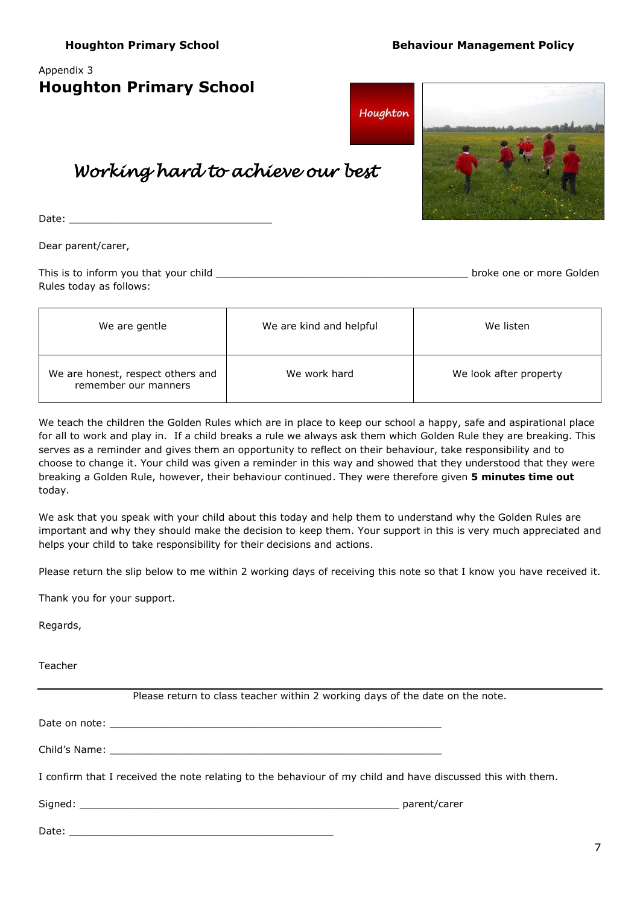### Appendix 3

| <b>Houghton Primary School</b> |  |  |
|--------------------------------|--|--|
|--------------------------------|--|--|



# *Working hard to achieve our best*

Date:

Dear parent/carer,

| This is to inform you that your child | broke one or more Golden |
|---------------------------------------|--------------------------|
| Rules today as follows:               |                          |

| We are gentle                                             | We are kind and helpful | We listen              |
|-----------------------------------------------------------|-------------------------|------------------------|
| We are honest, respect others and<br>remember our manners | We work hard            | We look after property |

We teach the children the Golden Rules which are in place to keep our school a happy, safe and aspirational place for all to work and play in. If a child breaks a rule we always ask them which Golden Rule they are breaking. This serves as a reminder and gives them an opportunity to reflect on their behaviour, take responsibility and to choose to change it. Your child was given a reminder in this way and showed that they understood that they were breaking a Golden Rule, however, their behaviour continued. They were therefore given **5 minutes time out** today.

We ask that you speak with your child about this today and help them to understand why the Golden Rules are important and why they should make the decision to keep them. Your support in this is very much appreciated and helps your child to take responsibility for their decisions and actions.

Please return the slip below to me within 2 working days of receiving this note so that I know you have received it.

Thank you for your support.

Regards,

Teacher

| Please return to class teacher within 2 working days of the date on the note.                               |  |
|-------------------------------------------------------------------------------------------------------------|--|
|                                                                                                             |  |
|                                                                                                             |  |
| I confirm that I received the note relating to the behaviour of my child and have discussed this with them. |  |
|                                                                                                             |  |
|                                                                                                             |  |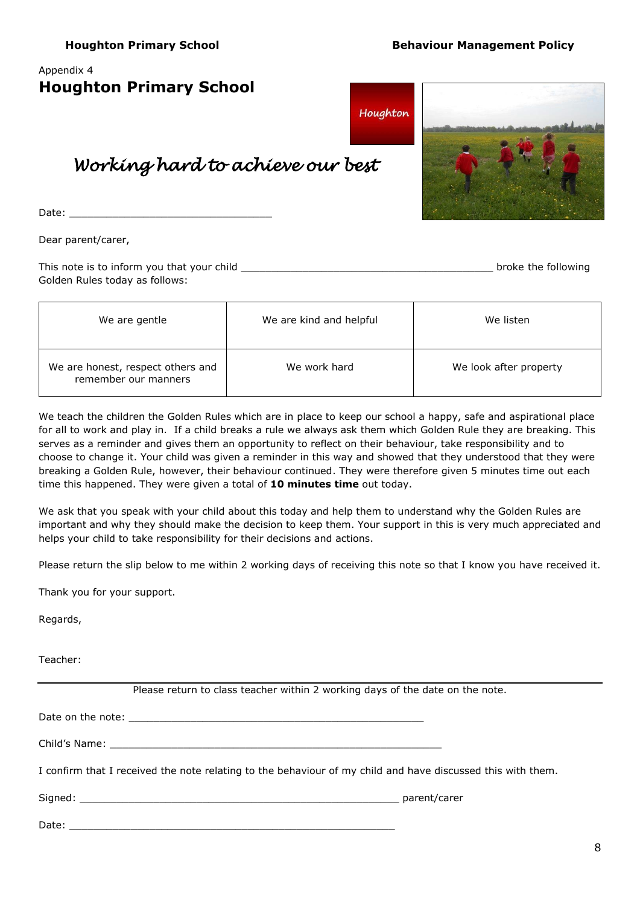### Appendix 4

| <b>Houghton Primary School</b> |  |  |
|--------------------------------|--|--|
|--------------------------------|--|--|



## *Working hard to achieve our best*

Date:

Dear parent/carer,

| This note is to inform you that your child | broke the following |
|--------------------------------------------|---------------------|
| Golden Rules today as follows:             |                     |

| We are gentle                                             | We are kind and helpful | We listen              |
|-----------------------------------------------------------|-------------------------|------------------------|
| We are honest, respect others and<br>remember our manners | We work hard            | We look after property |

We teach the children the Golden Rules which are in place to keep our school a happy, safe and aspirational place for all to work and play in. If a child breaks a rule we always ask them which Golden Rule they are breaking. This serves as a reminder and gives them an opportunity to reflect on their behaviour, take responsibility and to choose to change it. Your child was given a reminder in this way and showed that they understood that they were breaking a Golden Rule, however, their behaviour continued. They were therefore given 5 minutes time out each time this happened. They were given a total of **10 minutes time** out today.

We ask that you speak with your child about this today and help them to understand why the Golden Rules are important and why they should make the decision to keep them. Your support in this is very much appreciated and helps your child to take responsibility for their decisions and actions.

Please return the slip below to me within 2 working days of receiving this note so that I know you have received it.

Thank you for your support.

Regards,

Teacher:

|                                                                                                             | Please return to class teacher within 2 working days of the date on the note. |  |  |  |
|-------------------------------------------------------------------------------------------------------------|-------------------------------------------------------------------------------|--|--|--|
|                                                                                                             |                                                                               |  |  |  |
|                                                                                                             |                                                                               |  |  |  |
| I confirm that I received the note relating to the behaviour of my child and have discussed this with them. |                                                                               |  |  |  |
|                                                                                                             |                                                                               |  |  |  |
|                                                                                                             |                                                                               |  |  |  |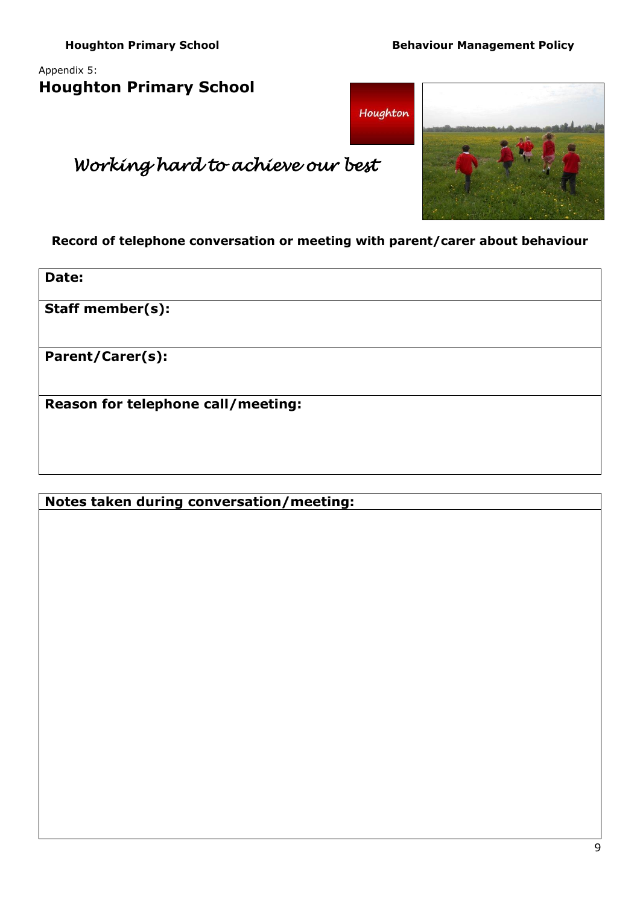### Appendix 5: **Houghton Primary School**





# *Working hard to achieve our best*

**Record of telephone conversation or meeting with parent/carer about behaviour**

**Date:**

**Staff member(s):**

**Parent/Carer(s):**

**Reason for telephone call/meeting:**

**Notes taken during conversation/meeting:**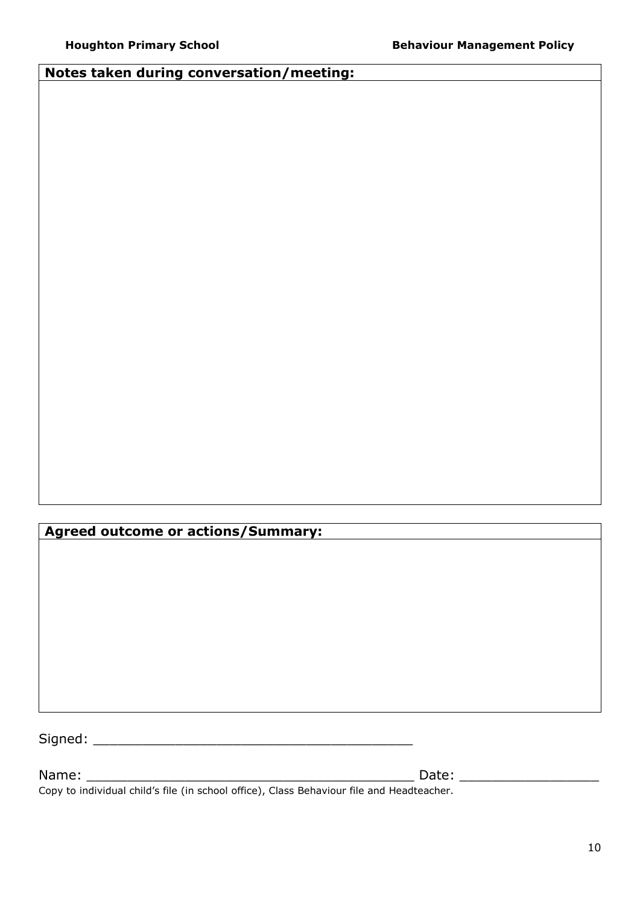### **Notes taken during conversation/meeting:**

**Agreed outcome or actions/Summary:**

Signed: \_\_\_\_\_\_\_\_\_\_\_\_\_\_\_\_\_\_\_\_\_\_\_\_\_\_\_\_\_\_\_\_\_\_\_\_\_\_\_

Name: \_\_\_\_\_\_\_\_\_\_\_\_\_\_\_\_\_\_\_\_\_\_\_\_\_\_\_\_\_\_\_\_\_\_\_\_\_\_\_\_ Date: \_\_\_\_\_\_\_\_\_\_\_\_\_\_\_\_\_

Copy to individual child's file (in school office), Class Behaviour file and Headteacher.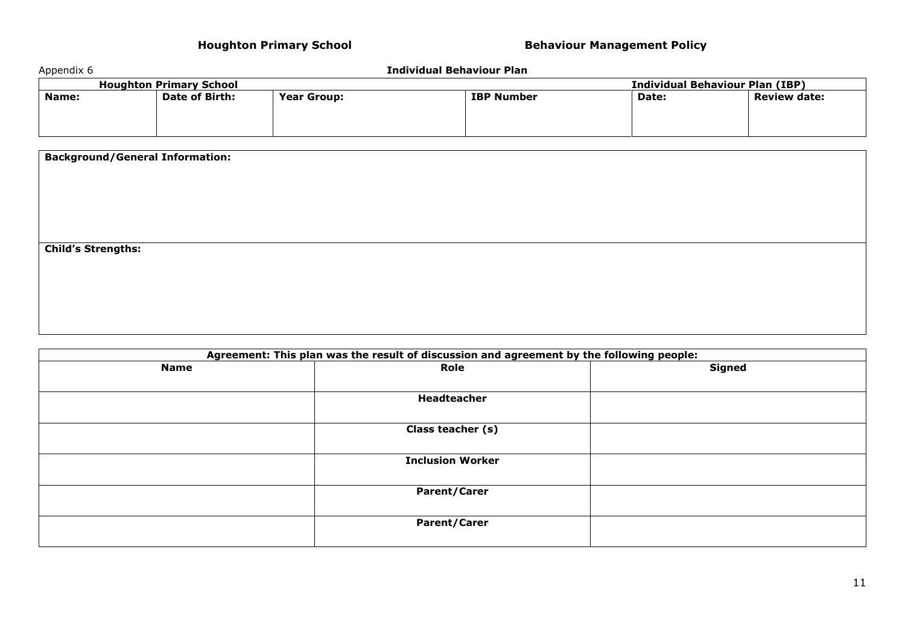| Appendix 6<br>Individual Behaviour Plan |                                        |                   |       |                     |
|-----------------------------------------|----------------------------------------|-------------------|-------|---------------------|
| <b>Houghton Primary School</b>          | <b>Individual Behaviour Plan (IBP)</b> |                   |       |                     |
| Date of Birth:                          | <b>Year Group:</b>                     | <b>IBP Number</b> | Date: | <b>Review date:</b> |
|                                         |                                        |                   |       |                     |

| <b>Background/General Information:</b> |  |  |
|----------------------------------------|--|--|
|                                        |  |  |
|                                        |  |  |
|                                        |  |  |
|                                        |  |  |
| <b>Child's Strengths:</b>              |  |  |
|                                        |  |  |
|                                        |  |  |
|                                        |  |  |
|                                        |  |  |

| Agreement: This plan was the result of discussion and agreement by the following people: |                         |  |  |
|------------------------------------------------------------------------------------------|-------------------------|--|--|
| <b>Name</b>                                                                              | <b>Signed</b><br>Role   |  |  |
|                                                                                          |                         |  |  |
|                                                                                          | Headteacher             |  |  |
|                                                                                          |                         |  |  |
|                                                                                          | Class teacher (s)       |  |  |
|                                                                                          |                         |  |  |
|                                                                                          | <b>Inclusion Worker</b> |  |  |
|                                                                                          |                         |  |  |
|                                                                                          | <b>Parent/Carer</b>     |  |  |
|                                                                                          |                         |  |  |
|                                                                                          | <b>Parent/Carer</b>     |  |  |
|                                                                                          |                         |  |  |